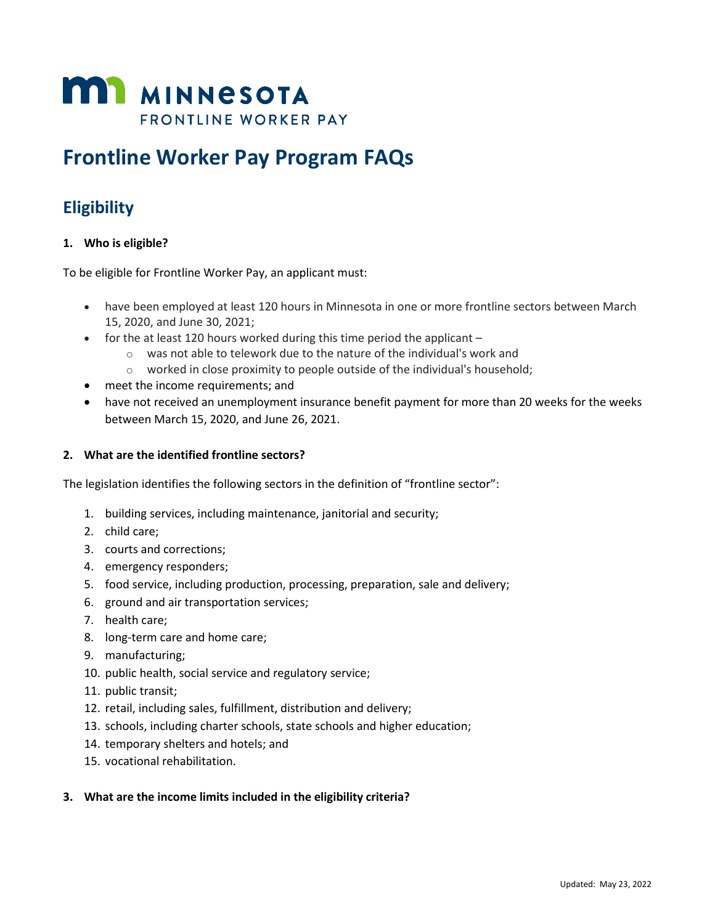

# **Frontline Worker Pay Program FAQs**

# **Eligibility**

#### **1. Who is eligible?**

To be eligible for Frontline Worker Pay, an applicant must:

- • have been employed at least 120 hours in Minnesota in one or more frontline sectors between March 15, 2020, and June 30, 2021;
- for the at least 120 hours worked during this time period the applicant  $-$ 
	- $\circ$  was not able to telework due to the nature of the individual's work and
	- $\circ$  worked in close proximity to people outside of the individual's household;
- meet the income requirements; and
- have not received an unemployment insurance benefit payment for more than 20 weeks for the weeks between March 15, 2020, and June 26, 2021.

#### **2. What are the identified frontline sectors?**

The legislation identifies the following sectors in the definition of "frontline sector":

- 1. building services, including maintenance, janitorial and security;
- 2. child care;
- 3. courts and corrections;
- 4. emergency responders;
- 5. food service, including production, processing, preparation, sale and delivery;
- 6. ground and air transportation services;
- 7. health care;
- 8. long-term care and home care;
- 9. manufacturing;
- 10. public health, social service and regulatory service;
- 11. public transit;
- 12. retail, including sales, fulfillment, distribution and delivery;
- 13. schools, including charter schools, state schools and higher education;
- 14. temporary shelters and hotels; and
- 15. vocational rehabilitation.

#### **3. What are the income limits included in the eligibility criteria?**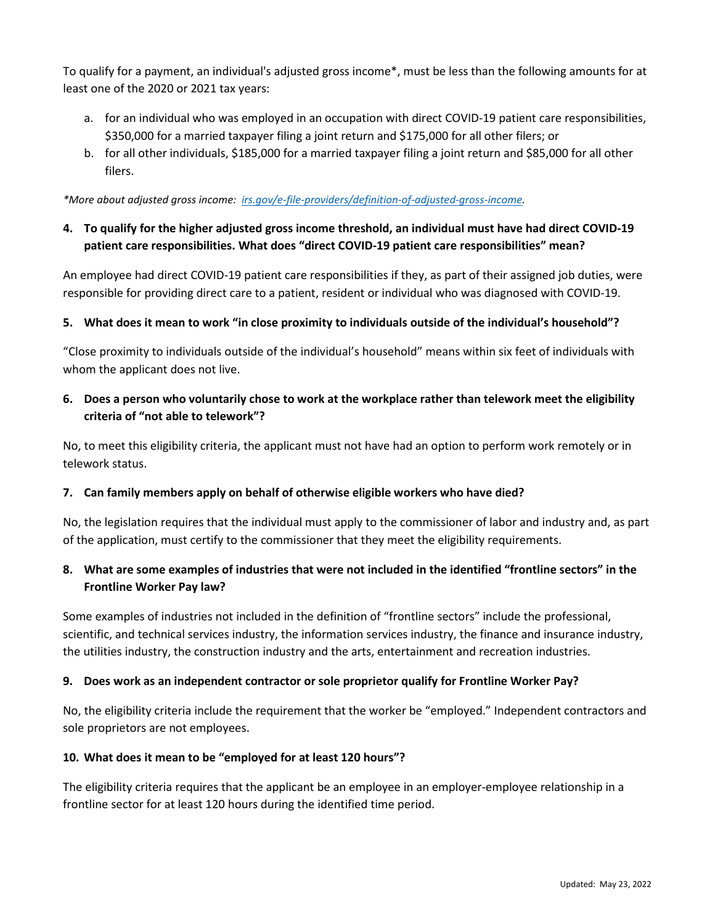To qualify for a payment, an individual's adjusted gross income\*, must be less than the following amounts for at least one of the 2020 or 2021 tax years:

- a. for an individual who was employed in an occupation with direct COVID-19 patient care responsibilities, \$350,000 for a married taxpayer filing a joint return and \$175,000 for all other filers; or
- b. for all other individuals, \$185,000 for a married taxpayer filing a joint return and \$85,000 for all other filers.

 *\*More about adjusted gross income: [irs.gov/e-file-providers/definition-of-adjusted-gross-income.](https://www.irs.gov/e-file-providers/definition-of-adjusted-gross-income)* 

**4. To qualify for the higher adjusted gross income threshold, an individual must have had direct COVID-19 patient care responsibilities. What does "direct COVID-19 patient care responsibilities" mean?** 

 An employee had direct COVID-19 patient care responsibilities if they, as part of their assigned job duties, were responsible for providing direct care to a patient, resident or individual who was diagnosed with COVID-19.

### **5. What does it mean to work "in close proximity to individuals outside of the individual's household"?**

 whom the applicant does not live. "Close proximity to individuals outside of the individual's household" means within six feet of individuals with

 **6. Does a person who voluntarily chose to work at the workplace rather than telework meet the eligibility criteria of "not able to telework"?** 

 No, to meet this eligibility criteria, the applicant must not have had an option to perform work remotely or in telework status.

#### **7. Can family members apply on behalf of otherwise eligible workers who have died?**

No, the legislation requires that the individual must apply to the commissioner of labor and industry and, as part of the application, must certify to the commissioner that they meet the eligibility requirements.

### **8. What are some examples of industries that were not included in the identified "frontline sectors" in the Frontline Worker Pay law?**

 scientific, and technical services industry, the information services industry, the finance and insurance industry, the utilities industry, the construction industry and the arts, entertainment and recreation industries. Some examples of industries not included in the definition of "frontline sectors" include the professional,

#### **9. Does work as an independent contractor or sole proprietor qualify for Frontline Worker Pay?**

No, the eligibility criteria include the requirement that the worker be "employed." Independent contractors and sole proprietors are not employees.

#### **10. What does it mean to be "employed for at least 120 hours"?**

 The eligibility criteria requires that the applicant be an employee in an employer-employee relationship in a frontline sector for at least 120 hours during the identified time period.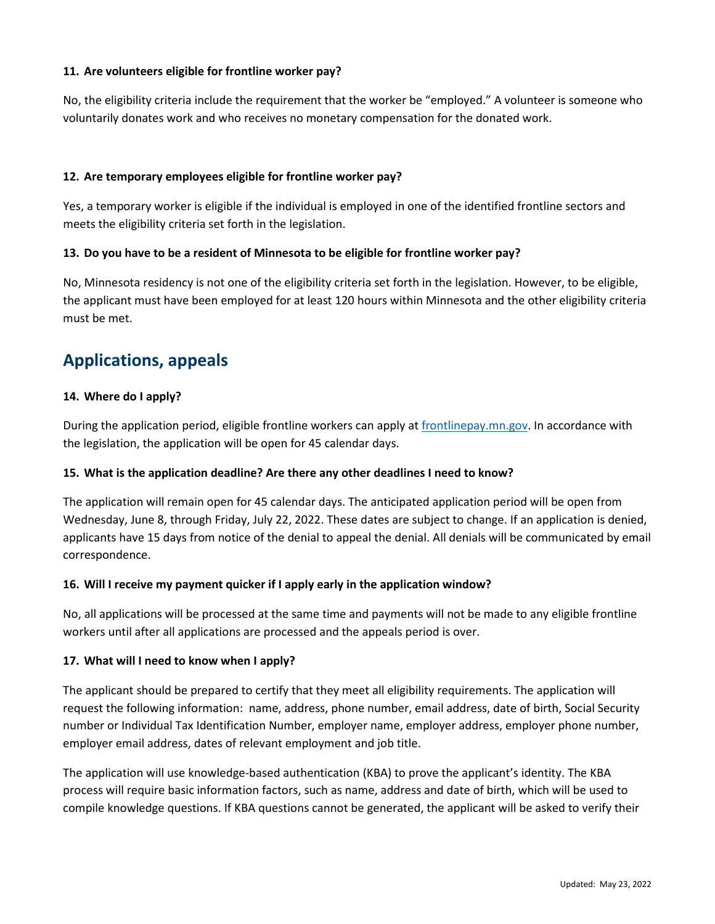#### **11. Are volunteers eligible for frontline worker pay?**

 No, the eligibility criteria include the requirement that the worker be "employed." A volunteer is someone who voluntarily donates work and who receives no monetary compensation for the donated work.

#### **12. Are temporary employees eligible for frontline worker pay?**

 Yes, a temporary worker is eligible if the individual is employed in one of the identified frontline sectors and meets the eligibility criteria set forth in the legislation.

#### **13. Do you have to be a resident of Minnesota to be eligible for frontline worker pay?**

 No, Minnesota residency is not one of the eligibility criteria set forth in the legislation. However, to be eligible, the applicant must have been employed for at least 120 hours within Minnesota and the other eligibility criteria must be met.

## **Applications, appeals**

#### **14. Where do I apply?**

 the legislation, the application will be open for 45 calendar days. During the application period, eligible frontline workers can apply at [frontlinepay.mn.gov.](http://www.frontlinepay.mn.gov/) In accordance with

#### **15. What is the application deadline? Are there any other deadlines I need to know?**

 Wednesday, June 8, through Friday, July 22, 2022. These dates are subject to change. If an application is denied, The application will remain open for 45 calendar days. The anticipated application period will be open from applicants have 15 days from notice of the denial to appeal the denial. All denials will be communicated by email correspondence.

#### **16. Will I receive my payment quicker if I apply early in the application window?**

 No, all applications will be processed at the same time and payments will not be made to any eligible frontline workers until after all applications are processed and the appeals period is over.

#### **17. What will I need to know when I apply?**

 number or Individual Tax Identification Number, employer name, employer address, employer phone number, employer email address, dates of relevant employment and job title. The applicant should be prepared to certify that they meet all eligibility requirements. The application will request the following information: name, address, phone number, email address, date of birth, Social Security

 The application will use knowledge-based authentication (KBA) to prove the applicant's identity. The KBA process will require basic information factors, such as name, address and date of birth, which will be used to compile knowledge questions. If KBA questions cannot be generated, the applicant will be asked to verify their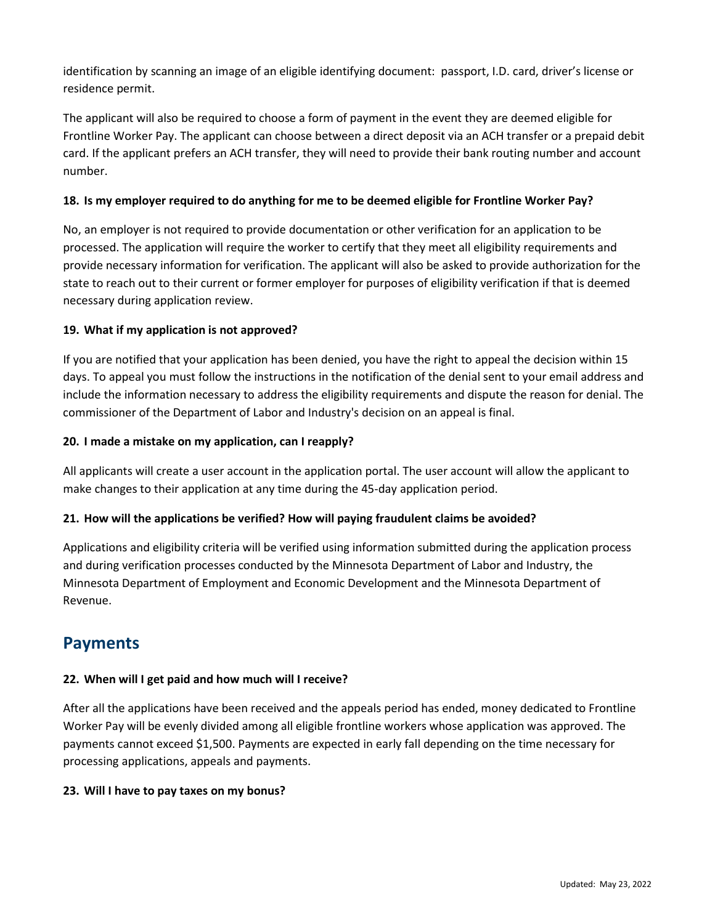identification by scanning an image of an eligible identifying document: passport, I.D. card, driver's license or residence permit.

 The applicant will also be required to choose a form of payment in the event they are deemed eligible for Frontline Worker Pay. The applicant can choose between a direct deposit via an ACH transfer or a prepaid debit card. If the applicant prefers an ACH transfer, they will need to provide their bank routing number and account number.

#### **18. Is my employer required to do anything for me to be deemed eligible for Frontline Worker Pay?**

No, an employer is not required to provide documentation or other verification for an application to be processed. The application will require the worker to certify that they meet all eligibility requirements and provide necessary information for verification. The applicant will also be asked to provide authorization for the state to reach out to their current or former employer for purposes of eligibility verification if that is deemed necessary during application review.

#### **19. What if my application is not approved?**

 If you are notified that your application has been denied, you have the right to appeal the decision within 15 days. To appeal you must follow the instructions in the notification of the denial sent to your email address and include the information necessary to address the eligibility requirements and dispute the reason for denial. The commissioner of the Department of Labor and Industry's decision on an appeal is final.

#### **20. I made a mistake on my application, can I reapply?**

All applicants will create a user account in the application portal. The user account will allow the applicant to make changes to their application at any time during the 45-day application period.

#### **21. How will the applications be verified? How will paying fraudulent claims be avoided?**

 and during verification processes conducted by the Minnesota Department of Labor and Industry, the Minnesota Department of Employment and Economic Development and the Minnesota Department of Applications and eligibility criteria will be verified using information submitted during the application process Revenue.

### **Payments**

#### **22. When will I get paid and how much will I receive?**

 payments cannot exceed \$1,500. Payments are expected in early fall depending on the time necessary for processing applications, appeals and payments. After all the applications have been received and the appeals period has ended, money dedicated to Frontline Worker Pay will be evenly divided among all eligible frontline workers whose application was approved. The

#### **23. Will I have to pay taxes on my bonus?**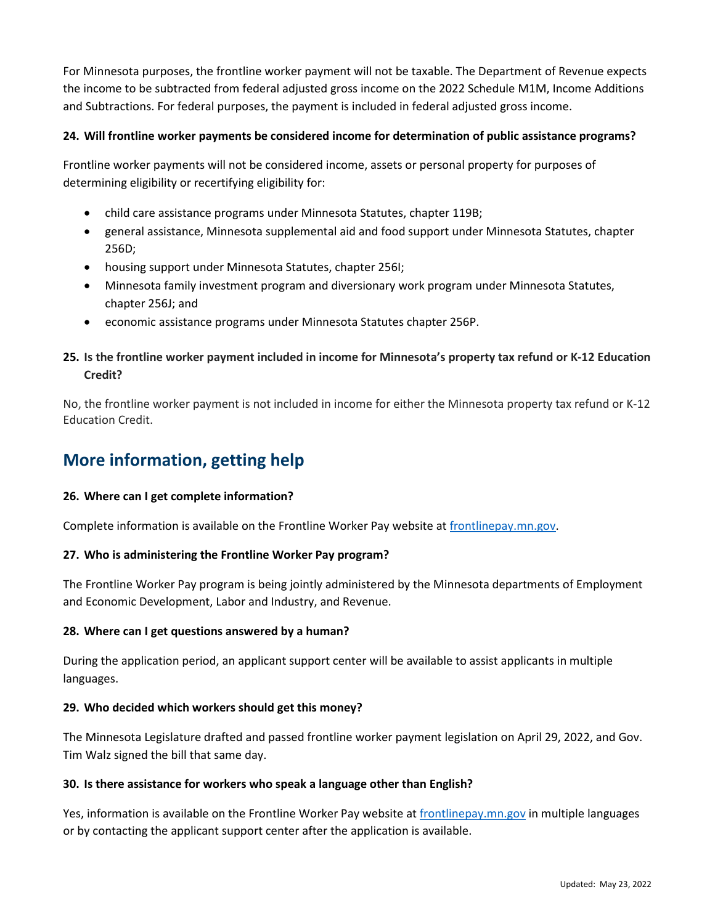the income to be subtracted from federal adjusted gross income on the 2022 Schedule M1M, Income Additions For Minnesota purposes, the frontline worker payment will not be taxable. The Department of Revenue expects and Subtractions. For federal purposes, the payment is included in federal adjusted gross income.

#### **24. Will frontline worker payments be considered income for determination of public assistance programs?**

 Frontline worker payments will not be considered income, assets or personal property for purposes of determining eligibility or recertifying eligibility for:

- child care assistance programs under Minnesota Statutes, chapter 119B;
- general assistance, Minnesota supplemental aid and food support under Minnesota Statutes, chapter 256D;
- housing support under Minnesota Statutes, chapter 256I;
- Minnesota family investment program and diversionary work program under Minnesota Statutes, chapter 256J; and
- economic assistance programs under Minnesota Statutes chapter 256P.

### **25. Is the frontline worker payment included in income for Minnesota's property tax refund or K-12 Education Credit?**

No, the frontline worker payment is not included in income for either the Minnesota property tax refund or K-12 Education Credit.

# **More information, getting help**

#### **26. Where can I get complete information?**

Complete information is available on the Frontline Worker Pay website at [frontlinepay.mn.gov.](http://www.frontlinepay.mn.gov/)

#### **27. Who is administering the Frontline Worker Pay program?**

 The Frontline Worker Pay program is being jointly administered by the Minnesota departments of Employment and Economic Development, Labor and Industry, and Revenue.

#### **28. Where can I get questions answered by a human?**

During the application period, an applicant support center will be available to assist applicants in multiple languages.

#### **29. Who decided which workers should get this money?**

 The Minnesota Legislature drafted and passed frontline worker payment legislation on April 29, 2022, and Gov. Tim Walz signed the bill that same day.

#### **30. Is there assistance for workers who speak a language other than English?**

Yes, information is available on the Frontline Worker Pay website at [frontlinepay.mn.gov i](http://www.frontlinepay.mn.gov/)n multiple languages or by contacting the applicant support center after the application is available.